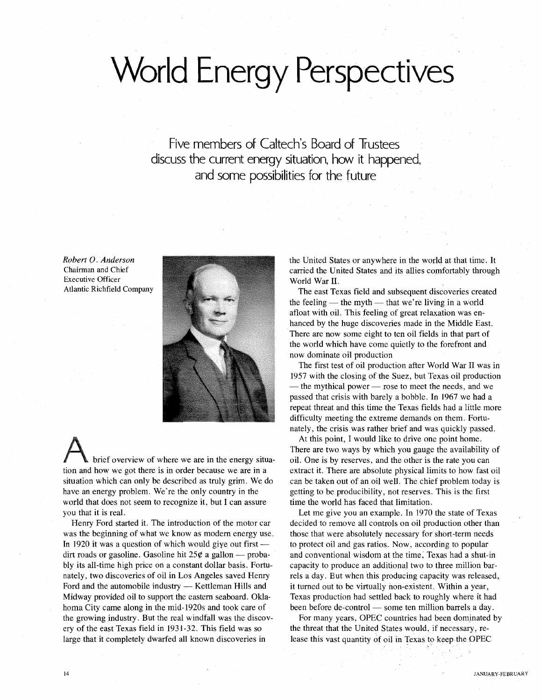# **World Energy Perspectives**

Five members of Caltech's Board of Trustees discuss the current energy situation, how it happened, and some possibilities for the future

*Robert* O. *Anderson* Chairman and Chief Executive Officer Atlantic Richfield Company



brief overview of where we are in the energy situation and how we got there is in order because we are in a situation which can only be described as truly grim. We do have an energy problem. We're the only country in the world that does not seem to recognize it, but I can assure you that it is real.

Henry Ford started it. The introduction of the motor car was the beginning of what we know as modem energy use. In 1920 it was a question of which would give out first  $$ dirt roads or gasoline. Gasoline hit  $25¢$  a gallon - probably its all-time high price on a constant dollar basis. Fortunately, two discoveries of oil in Los Angeles saved Henry Ford and the automobile industry — Kettleman Hills and Midway provided oil to support the eastern seaboard. Oklahoma City came along in the mid-1920s and took care of the growing industry. But the real windfall was the discovery of the east Texas field in 1931-32. This field was so large that it completely dwarfed all known discoveries in

the United States or anywhere in the world at that time. It carried the United States and its allies comfortably through World War II.

The east Texas field and subsequent discoveries created the feeling  $-$  the myth  $-$  that we're living in a world afloat with oil. This feeling of great relaxation was enhanced by the huge discoveries made in the Middle East. There are now some eight to ten oil fields in that part of the world which have come quietly to the forefront and now dominate oil production

The first test of oil production after World War II was in 1957 with the closing of the Suez, but Texas oil production - the mythical power - rose to meet the needs, and we passed that crisis with barely a bobble. In 1967 we had a repeat threat and this time the Texas fields had a little more difficulty meeting the extreme demands on them. Fortunately, the crisis was rather brief and was quickly passed.

At this point, I would like to drive one point home. There are two ways by which you gauge the availability of oil. One is by reserves, and the other is the rate you can extract it. There are absolute physical limits to how fast oil can be taken out of an oil well. The chief problem today is getting to be producibility, not reserves. This is the first time the world has faced that limitation.

Let me give you an example. In 1970 the state of Texas decided to remove all controls on oil production other than those that were absolutely necessary for short-term needs to protect oil and gas ratios. Now, according to popular and conventional wisdom at the time; Texas had a shut-in capacity to produce an additional two to three million barrels a day. But when this producing capacity was released, it turned out to be virtually non-existent. Within a year, Texas production had settled back to roughly where it had been before de-control - some ten million barrels a day.

For many years, OPEC countries had been dominated by the threat that the United States would, if necessary, release this vast quantity of oil in Texas to keep the OPEC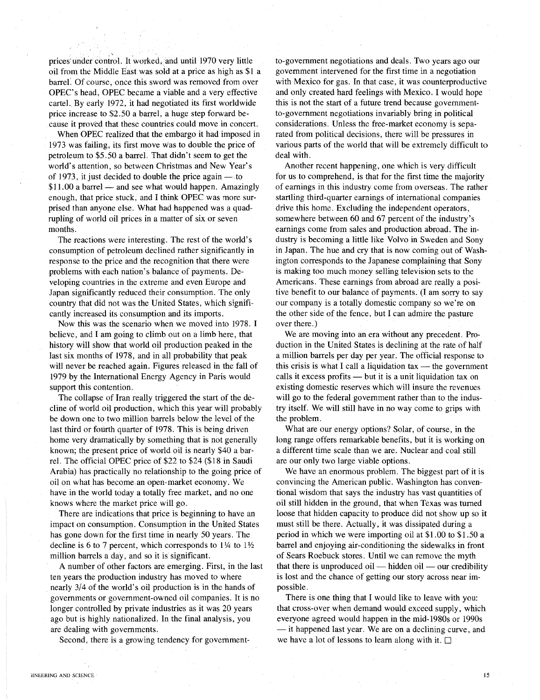prices under control. It worked, and until 1970 very little oil from the Middle East was soid at a price as high as \$1 a barrel. Of course, once this sword was removed from over OPEC's head, OPEC became a viable and a very effective cartel. By early 1972, it had negotiated its first worldwide price increase to \$2.50 a barrel, a huge step forward because it proved that these countries could move in concert.

When OPEC realized that the embargo it had imposed in 1973 was failing, its first move was to double the price of petroleum to \$5.50 a barrel. That didn't seem to get the world's attention, so between Christmas and New Year's of 1973, it just decided to double the price again  $-$  to \$11.00 a barrel - and see what would happen. Amazingly enough, that price stuck, and I think OPEC was more surprised than anyone else. What had happened was a quadrupling of world oil prices in a matter of six or seven months.

The reactions were interesting. The rest of the world's consumption of petroleum declined rather significantly in response to the price and the recognition that there were problems with each nation's balance of payments. Developing countries in the extreme and even Europe and Japan significantly reduced their consumption. The only country that did not was the United States, which significantly increased its consumption and its imports.

Now this was the scenario when we moved into 1978. I believe, and I am going to climb out on a limb here, that history will show that world oil production peaked in the last six months of 1978, and in all probability that peak will never be reached again. Figures released in the fall of 1979 by the International Energy Agency in Paris would support this contention.

The collapse of Iran really triggered the start of the decline of world oil production, which this year will probably be down one to two million barrels below the level of the last third or fourth quarter of 1978. This is being driven home very dramatically by something that is not generally known; the present price of world oil is nearly \$40 a barrel. The official OPEC price of \$22 to \$24 (\$18 in Saudi Arabia) has practically no relationship to the going price of oil on what has become an open-market economy. We have in the world today a totally free market, and no one knows where the market price will go.

There are indications that price is beginning to have an impact on consumption. Consumption in the United States has gone down for the first time in nearly 50 years. The decline is 6 to 7 percent, which corresponds to  $1\frac{1}{4}$  to  $1\frac{1}{2}$ million barrels a day, and so it is significant.

A number of other factors are emerging. First, in the last ten years the production industry has moved to where . nearly 3/4 of the world's oil production is in the hands of governments or government-owned oil companies. It is no longer controlled by private industries as it was 20 years ago but is highly nationalized. In the final analysis, you are dealing with governments.

Second, there is a growing tendency for government-

to-government negotiations and deals. Two years ago our government intervened for the first time in a negotiation with Mexico for gas. In that case, it was counterproductive and only created hard feelings with Mexico. I would hope this is not the start of a future trend because governmentto-government negotiations invariably bring in political considerations. Unless the free-market economy is separated from political decisions, there will be pressures in various parts of the world that will be extremely difficult to deal with.

Another recent happening, one which is very difficult for us to comprehend, is that for the first time the majority of earnings in this industry come from overseas. The rather startling third-quarter earnings of international companies drive this home. Excluding the independent operators, somewhere between 60 and 67 percent of the industry's earnings come from sales and production abroad. The industry is becoming a little like Volvo in Sweden and Sony in Japan. The hue and cry that is now coming out of Washington corresponds to the Japanese complaining that Sony is making too much money selling television sets to the Americans. These earnings from abroad are really a positive benefit to our balance of payments. (I am sorry to say our company is a totally domestic company so we're on the other side of the fence, but I can admire the pasture over there.)

We are moving into an era without any precedent. Production in the United States is declining at the rate of half a million barrels per day per year. The official response to this crisis is what I call a liquidation tax  $-$  the government calls it excess profits - but it is a unit liquidation tax on existing domestic reserves which will insure the revenues will go to the federal government rather than to the industry itself. We will still have in no way come to grips with the problem.

What are our energy options? Solar, of course, in the long range offers remarkable benefits, but it is working on a different time scale than we are. Nuclear and coal still are our only two large viable options.

We have an enormous problem. The biggest part of it is convincing the American public. Washington has conventional wisdom that says the industry has vast quantities of oil still hidden in the ground, that when Texas was turned loose that hidden capacity to produce did not show up so it must still be there. Actually, it was dissipated during a period in which we were importing oil at \$1.00 to \$1.50 a barrel and enjoying air-conditioning the sidewalks in front of Sears Roebuck stores. Until we can remove the myth that there is unproduced oil — hidden oil — our credibility is lost and the chance of getting our story across near impossible.

There is one thing that I would like to leave with you: that cross-over when demand would exceed supply, which everyone agreed would happen in the mid-1980s or 1990s - it happened last year. We are on a declining curve, and we have a lot of lessons to learn along with it.  $\square$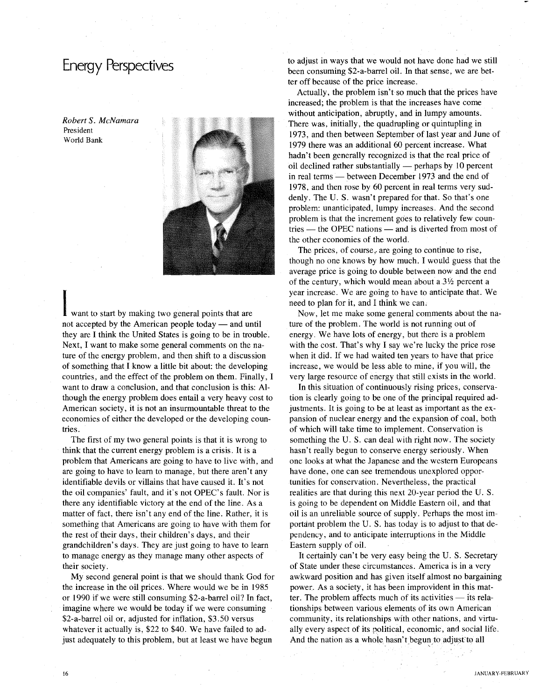*Robert* S. *McNamara* President World Bank



want to start by making two general points that are not accepted by the American people today  $-$  and until they are I think the United States is going to be in trouble. Next, I want to make some general comments on the nature of the energy problem, and then shift to a discussion of something that I know a little bit about: the developing countries, and the effect of the problem on them. Finally, I want to draw a conclusion, and that conclusion is this: Although the energy problem does entail a very heavy cost to American society, it is not an insurmountable threat to the economies of either the developed or the developing countries.

The first of my two general points is that it is wrong to think that the current energy problem is a crisis. It is a problem that Americans are going to have to live with, and are going to have to learn to manage, but there aren't any identifiable devils or villains that have caused it. It's not the oil companies' fault, and it's not OPEC's fault. Nor is there any identifiable victory at the end of the line. As a matter of fact, there isn't any end of the line. Rather, it is something that Americans are going to have with them for the rest of their days, their children's days, and their grandchildren's days. They are just going to have to learn to manage energy as they manage many other aspects of their society.

My second general point is that we should thank God for the increase in the oil prices. Where would we be in 1985 or 1990 if we were still consuming \$2-a-barrel oil? In fact, imagine where we would be today if we were consuming \$2-a-barrel oil or, adjusted for inflation, \$3.50 versus whatever it actually is, \$22 to \$40. We have failed to adjust adequately to this problem, but at least we have begun

16

to adjust in ways that we would not have done had we still been consuming \$2-a-barrel oil. In that sense, we are better off because of the price increase.

Actually, the problem isn't so much that the prices have increased; the problem is that the increases have come without anticipation, abruptly, and in lumpy amounts. There was, initially, the quadrupling or quintupling in 1973, and then between September of last year and June of 1979 there was an additional 60 percent increase. What hadn't been generally recognized is that the real price of oil declined rather substantially  $-$  perhaps by 10 percent in real terms - between December 1973 and the end of 1978, and then rose by 60 percent in real terms very suddenly. The U. S. wasn't prepared for that. So that's one problem: unanticipated, lumpy increases. And the second problem is that the increment goes to relatively few countries — the OPEC nations — and is diverted from most of the other economies of the world.

The prices, of course, are going to continue to rise, though no one knows by how much. I would guess that the average price is going to double between now and the end of the century, which would mean about a  $3\frac{1}{2}$  percent a year increase. We are going to have to anticipate that. We need to plan for it, and I think we can:

Now, let me make some general comments about the nature of the problem. The world is not running out of energy. We have lots of energy, but there is a problem with the cost. That's why I say we're lucky the price rose when it did. If we had waited ten years to have that price increase, we would be less able to mine, if you will, the very large resource of energy that still exists in the world.

In this situation of continuously rising prices, conservation is clearly going to be one of the principal required adjustments. It is going to be at least as important as the expansion of nuclear energy and the expansion of coal, both of which will take time to implement. Conservation is something the U. S. can deal with right now. The society hasn't really begun to conserve energy seriously. When one looks at what the Japanese and the western Europeans have done, one can see tremendous unexplored opportunities for conservation. Nevertheless, the practical realities are that during this next 20-year period the U. S. is going to be dependent on Middle Eastern oil, and that oil is an unreliable source of supply. Perhaps the most important problem the U.S. has today is to adjust to that dependency, and to anticipate interruptions in the Middle Eastern supply of oiL

It certainly can't be very easy being the U. S. Secretary of State under these circumstances. America is in a very awkward position and has given itself almost no bargaining power. As a society, it has been improvident in this matter. The problem affects much of its activities  $-$  its relationships between various elements of its own American community, its relationships with other nations, and virtually every aspect of its political, economic, and social life. And the nation as a whole hasn't begun to adjust to all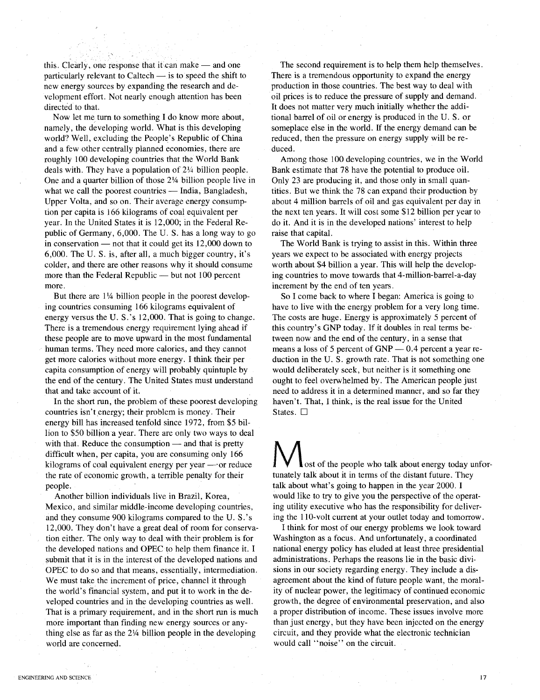this. Clearly, one response that it can make  $-$  and one particularly relevant to Caltech  $-$  is to speed the shift to new energy sources by expanding the research and development effort. Not nearly enough attention has been directed to that.

Now let meturn to something I do know more about, namely, the developing world. What is this developing world? Well, excluding the People's Republic of China and a few other centrally planned economies, there are roughly 100 developing countries that the World Bank deals with. They have a population of 2% billion people. One and a quarter billion of those 2% billion people live in what we call the poorest countries  $-$  India, Bangladesh, Upper Volta, and so on. Their average energy consumption per capita is 166 kilograms of coal equivalent per year. In the United States it is 12,000; in the Federal Republic of Germany, 6,000. The U. S. has a long way to go in conservation  $-$  not that it could get its 12,000 down to 6,000. The U. S. is, after all, a much bigger country, it's colder, and there are other reasons why it should consume more than the Federal Republic  $-$  but not 100 percent more.

But there are  $1\frac{1}{4}$  billion people in the poorest developing countries consuming 166 kilograms equivalent of energy versus the U. S.'s 12,000. That is going to change. There is a tremendous energy requirement lying ahead if these people are to move upward in the most fundamental human terms. They need more calories, and they cannot get more calories without more energy. I think their per capita consumption of energy will probably quintuple by the end of the century. The United States must understand that and take account of it.

In the short run, the problem of these poorest developing countries isn't energy; their problem is money. Their energy bill has increased tenfold since 1972, from \$5 billion to \$50 billion a year. There are only two ways to deal with that. Reduce the consumption  $-$  and that is pretty difficult when, per capita, you are consuming only 166 kilograms of coal equivalent energy per year -'or reduce the rate of economic growth, a terrible penalty for their people.

Another billion individuals live in Brazil, Korea, Mexico, and similar middle-income developing countries, and they consume 900 kilograms compared to the U. S.'s 12,000. They don't have a great deal of room for conservation either. The only way to deal with their problem is for the developed nations and OPEC to help them finance it. I submit that it is in the interest of the developed nations and OPEC to do so and that means, essentially, intermediation. We must take the increment of price, channel it through the world's financial system, and put it to work in the developed countries and in the developing countries as well. That is a primary requirement, and in the short run is much more important than finding new energy sources or anything else as far as the 2% billion people in the developing world are concerned.

The second requirement is to help them help themselves. There is a tremendous opportunity to expand the energy production in those countries. The best way to deal with oil prices is to reduce the pressure of supply and demand. It does not matter very much initially whether the additional barrel of oil or energy is produced in the U. S. or someplace else in the world. If the energy demand can be reduced, then the pressure on energy supply will be reduced.

Among those 100 developing countries, we in the World Bank estimate that 78 have the potential to produce oil. Only 23 are producing it, and those only in small quantities. But we think the 78 can expand their production by about 4 million barrels of oil and gas equivalent per day in the next ten years. It will cost some \$12 billion per year to do it. And it is in the developed nations' interest to help raise that capital.

The World Bank is trying to assist in this. Within three years we expect to be associated with energy projects worth about \$4 billion a year. This will help the developing countries to move towards that 4-million-barrel-a-day increment by the end of ten years.

So I come back to where I began: America is going to have to live with the energy problem for a very long time. The costs are huge. Energy is approximately 5 percent of this country's GNP today. If it doubles in real terms between now and the end of the century, in a sense that means a loss of 5 percent of  $GNP - 0.4$  percent a year reduction in the U. S. growth rate. That is not something one would deliberately seek, but neither is it something one ought to feel overwhelmed by. The American people just need to address it in a determined manner, and so far they haven't. That, I think, is the real issue for the United States.  $\square$ 

ost of the people who talk about energy today unfortunately talk about it in terms of the distant future. They talk about what's going to happen in the year 2000. I would like to try to give you the perspective of the operating utility executive who has the responsibility for delivering the 11O-volt current at your outlet today and tomorrow.

I think for most of our energy problems we look toward Washington as a focus. And unfortunately, a coordinated national energy policy has eluded at least three presidential administrations. Perhaps the reasons lie in the basic divisions in our society regarding energy. They include a disagreement about the kind of future people want, the morality of nuclear power, the legitimacy of continued economic growth, the degree of environmental preservation, and also a proper distribution of income. These issues involve more than just energy, but they have been injected on the energy circuit, and they provide what the electronic technician would call "noise" on the circuit.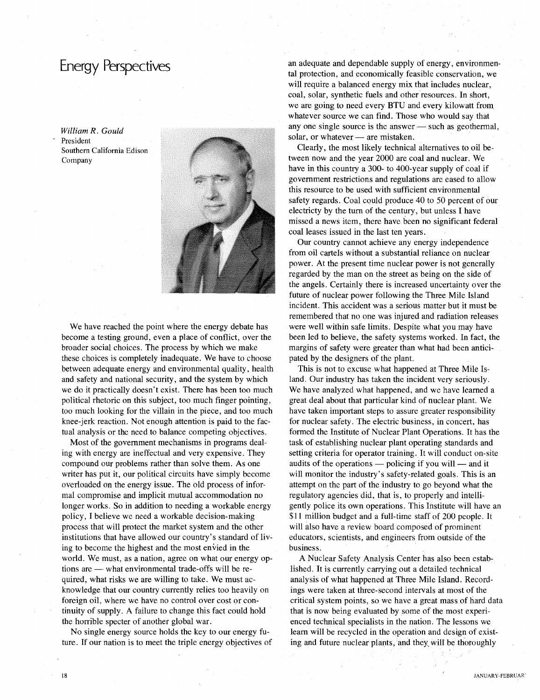*William R. Gould* President Southern California Edison Company



We have reached the point where the energy debate has become a testing ground, even a place of conflict, over the broader social choices. The process by which we make these choices is completely inadequate. We have to choose between adequate energy and environmental quality, health and safety and national security, and the system by which we do it practically doesn't exist. There has been too much political rhetoric on this subject, too much finger pointing, too much looking for the villain in the piece, and too much knee-jerk reaction. Not enough attention is paid to the factual analysis or the need to balance competing objectives.

Most of the government mechanisms in programs dealing with energy are ineffectual and very expensive. They compound our problems rather than solve them. As one writer has put it, our political circuits have simply become overloaded on the energy issue. The old process of informal compromise and implicit mutual accommodation no longer works. So in addition to needing a workable energy policy, I believe we need a workable decision-making process that will protect the market system and the other institutions that have allowed our country's standard of living to become the highest and the most envied in the world. We must, as a nation, agree on what our energy options are - what environmental trade-offs will be required, what risks we are willing to take. We must acknowledge that our country currently relies too heavily on foreign oil, where we have no control over cost or continuity of supply. A failure to change this fact could hold the horrible specter of another global war.

No single energy source holds the key to our energy future. If our nation is to meet the triple energy objectives of an adequate and dependable supply of energy, environmental protection, and economically feasible conservation, we will require a balanced energy mix that includes nuclear, coal, solar, synthetic fuels and other resources. In short, we are going to need every BTU and every kilowatt from whatever source we can find. Those who would say that any one single source is the answer $-$  such as geothermal, solar, or whatever - are mistaken.

Clearly, the most likely technical alternatives to oil between now and the year 2000 are coal and nuclear. We have in this country a 300- to 400-year supply of coal if government restrictions and regulations are eased to allow this resource to be used with sufficient environmental safety regards. Coal could produce 40 to 50 percent of our electricty by the tum of the century, but unless I have missed a news item, there have been no significant federal coal leases issued in the last ten years.

Our country cannot achieve any energy independence from oil cartels without a substantial reliance on nuclear power. At the present time nuclear power is not generally regarded by the man on the street as being on the side of the angels. Certainly there is increased uncertainty over the future of nuclear power following the Three Mile Island incident. This accident was a serious matter but it must be remembered that no one was injured and radiation releases were well within safe limits. Despite what you may have been led to believe, the safety systems worked. In fact, the margins of safety were greater than what had been anticipated by the designers of the plant.

This is not to excuse what happened at Three Mile Island. Our industry has taken the incident very seriously. We have analyzed what happened, and we have learned a great deal about that particular kind of nuclear plant. We have taken important steps to assure greater responsibility for nuclear safety. The electric business, in concert, has formed the Institute of Nuclear Plant Operations. It has the task of establishing nuclear plant operating standards and setting criteria for operator training. It will conduct on-site audits of the operations  $-$  policing if you will  $-$  and it will monitor the industry's safety-related goals. This is an attempt on the part of the industry to go beyond what the regulatory agencies did, that is, to properly and intelligently police its own operations. This Institute will have an \$11 million budget and a full-time staff of 200 people. It will also have a review board composed of prominent educators, scientists, and engineers from outside of the business.

A Nuclear Safety Analysis Center has also been established. It is currently carrying out a detailed technical analysis of what happened at Three Mile Island. Recordings were taken at three-second intervals at most of the critical system points, so we have a great mass of hard data that is now being evaluated by some of the most experienced technical specialists in the nation. The lessons we learn will be recycled in the operation and design of existing and future nuclear plants, and they will be thoroughly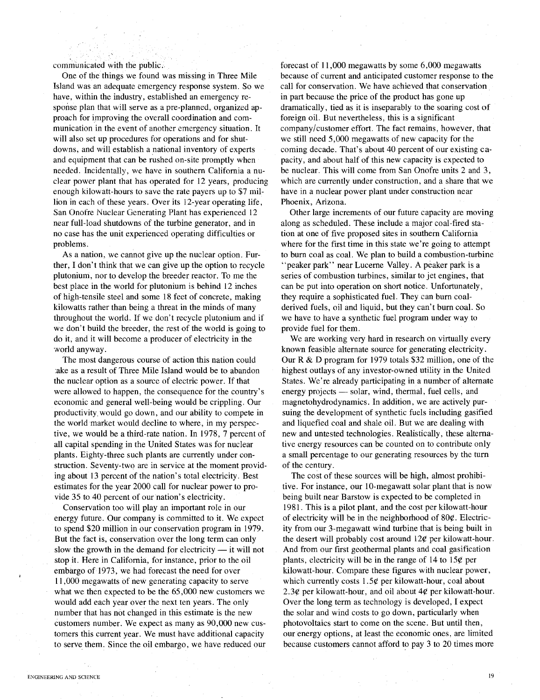communicated with the public.

One of the things we found was missing in Three Mile Island was an adequate emergency response system. So we have, within the industry, established an emergency response plan that will serve as a pre-planned, organized approach for improving the overall coordination and communication in the event of another emergency situation. It will also set up procedures for operations and for shutdowns, and will establish a national inventory of experts and equipment that can be rushed on-site promptly when needed. Incidentally, we have in southern California a nuclear power plant that has operated for 12 years, producing enough kilowatt-hours to save the rate payers up to \$7 million in each of these years. Over its 12-year operating life, San Onofre Nuclear Generating Plant has experienced 12 near full-load shutdowns of the turbine generator, and in no case has the unit experienced operating difficulties or problems.

As a nation, we cannot give up the nuclear option. Further, I don't think that we can give up the option to recycle plutonium, nor to develop the breeder reactor. To me the best place in the world for plutonium is behind 12 inches of high-tensile steel and some 18 feet of concrete, making kilowatts rather than being a threat in the minds of many throughout the world. If we don't recycle plutonium and if we don't build the breeder, the rest of the world is going to do it, and it will become a producer of electricity in the world anyway.

The most dangerous course of action this nation could :ake as a result of Three Mile Island would be to abandon the nuclear option as a source of electric power. If that were allowed to happen, the consequence for the country's economic and general well-being would be crippling. Our productivity. would go down, and our ability to compete in the world market would decline to where, in my perspective, we would be a third-rate nation. In 1978, 7 percent of all capital spending in the United States was for nuclear plants. Eighty-three such plants are currently under construction. Seventy-two are in service at the moment providing about 13 percent of the nation's total electricity. Best estimates for the year 2000 call for nuclear power to provide 35 to 40 percent of our nation's electricity.

Conservation too will play an important role in our energy future. Our company is committed to it. We expect to spend \$20 million in our conservation program in 1979. But the fact is, conservation over the long term can only slow the growth in the demand for electricity  $-$  it will not stop it. Here in California, for instance, prior to the oil embargo of 1973, we had forecast the need for over 11,000 megawatts of new generating capacity to serve what we then expected to be the 65,000 new customers we would add each year over the next ten years. The only number that has not changed in this estimate is the new customers number. We expect as many as 90,000 new customers this current year. We must have additional capacity to serve them. Since the oil embargo, we have reduced our

forecast of 11,000 megawatts by some 6,000 megawatts because of current and anticipated customer response to the call for conservation. We have achieved that conservation in part because the price of the product has gone up dramatically, tied as it is inseparably to the soaring cost of foreign oil. But nevertheless, this is a significant company/customer effort. The fact remains, however, that we still need 5,000 megawatts of new capacity for the coming decade. That's about 40 percent of our existing capacity, and about half of this new capacity is expected to be nuclear. This will come from San Onofre units 2 and 3, which are currently under construction, and a share that we have in a nuclear power plant under construction near Phoenix, Arizona.

Other large increments of our future capacity are moving along as scheduled. These include a major coal-fired station at one of five proposed sites in southern California where for the first time in this state we're going to attempt to burn coal as coal. We plan to build a combustion-turbine "peaker park" near Lucerne Valley. A peaker park is a series of combustion turbines, similar to jet engines, that can be put into operation on short notice. Unfortunately, they require a sophisticated fuel. They can burn coalderived fuels, oil and liquid, but they can't burn coal. So we have to have a synthetic fuel program under way to provide fuel for them.

We are working very hard in research on virtually every known feasible alternate source for generating electricity. Our R&D program for 1979 totals \$32 million, one of the highest outlays of any investor-owned utility in the United States. We're already participating in a number of alternate energy projects - solar, wind, thermal, fuel cells, and magnetohydrodynamics. In addition, we are actively pursuing the development of synthetic fuels including gasified and liquefied coal and shale oil. But we are dealing with new and untested technologies. Realistically, these alternative energy resources can be counted on to contribute only a small percentage to our generating resources by the tum of the century.

The cost of these sources will be high, almost prohibitive. For instance, our 10-megawatt solar plant that is now being built near Barstow is expected to be completed in 1981. This is a pilot plant, and the cost per kilowatt-hour of electricity will be in the neighborhood of 80¢. Electricity from our 3-megawatt wind turbine that is being built in the desert will probably cost around  $12\ell$  per kilowatt-hour. And from our first geothermal plants and coal gasification plants, electricity will be in the range of 14 to 15¢ per kilowatt-hour. Compare these figures with nuclear power, which currently costs 1.5¢ per kilowatt-hour, coal about 2.3¢ per kilowatt-hour, and oil about  $4¢$  per kilowatt-hour. Over the long term as technology is developed, I expect the solar and wind costs to go down, particularly when photovoltaics start to come on the scene. But until then, our energy options, at least the economic ones, are limited because customers cannot afford to pay 3 to 20 times more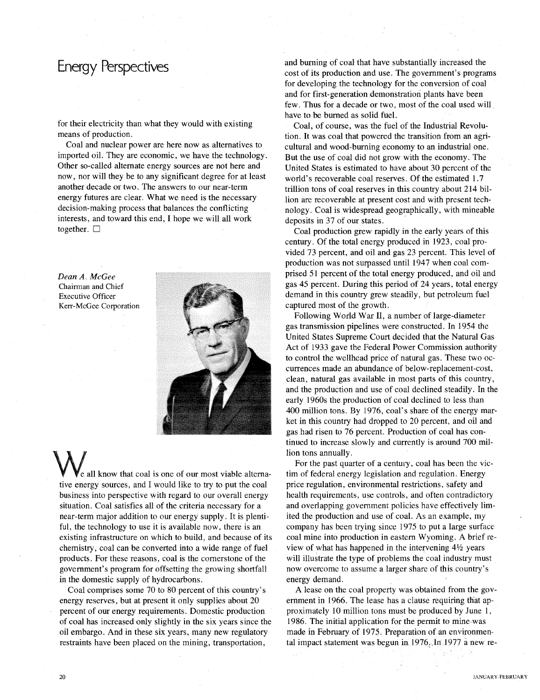for their electricity than what they would with existing means of production.

Coal and nuclear power are here now as alternatives to imported oil. They are economic, we have the technology. Other so-called alternate energy sources are not here and now, nor will they be to any significant degree for at least another decade or two. The answers to our near-term energy futures are clear. What we need is the necessary decision-making process that balances the conflicting interests, and toward this end, I hope we will all work together.  $\square$ 

*Dean A. McGee* Chairman and Chief Executive Officer Kerr-McGee Corporation



e all know that coal is one of our most viable alternative energy sources, and I would like to try to put the coal business into perspective with regard to our overall energy situation. Coal satisfies all of the criteria necessary for a near-term major addition to our energy supply. It is plentiful, the technology to use it is available now, there is an existing infrastructure on which to build, and because of its chemistry, coal can be converted into a wide range of fuel products. For these reasons, coal is the cornerstone of the government's program for offsetting the growing shortfall in the domestic supply of hydrocarbons.

Coal comprises some 70 to 80 percent of this country's energy reserves, but at present it only supplies about 20 percent of our energy requirements. Domestic production of coal has increased only slightly in the six years since the oil embargo. And in these six years, many new regulatory restraints have been placed on the mining, transportation,

and burning of coal that have substantially increased the cost of its production and use. The government's programs for developing the technology for the conversion of coal and for first-generation demonstration plants have been few. Thus for a decade or two, most of the coal used will have to be burned as solid fuel.

Coal, of course, was the fuel of the Industrial Revolution. It was coal that powered the transition from an agricultural and wood-burning economy to an industrial one. But the use of coal did hot grow with the economy. The United States is estimated to have about 30 percent of the world's recoverable coal reserves. Of the estimated 1.7 trillion tons of coal reserves in this country about 214 billion are recoverable at present cost and with present technology. Coal is widespread geographically, with mineable deposits in 37 of our states. .

Coal production grew rapidly in the early years of this century. Of the total energy produced in 1923, coal provided 73 percent, and oil and gas 23 percent. This level of production was not surpassed until 1947 when coal comprised 51 percent of the total energy produced, and oil and gas 45 percent. During this period of 24 years, total energy demand in this country grew steadily, but petroleum fuel captured most of the growth.

Following World War II, a number of large-diameter gas transmission pipelines were constructed. In 1954 the United States Supreme Court decided that the Natural Gas Act of 1933 gave the Federal Power Commission authority to control the wellhead price of natural gas. These two occurrences made an abundance of below-replacement-cost, clean, natural gas available in most parts of this country, and the production and use of coal declined steadily. In the early 1960s the production of coal declined to less than 400 million tons. By 1976, coal's share of the energy market in this country had dropped to 20 percent, and oil and gas had risen to 76 percent. Production of coal has continued to increase slowly and currently is around 700 million tons annually.

For the past quarter of a century, coal has been the victim of federal energy legislation and regulation. Energy price regulation, environmental restrictions, safety and health requirements, use controls, and often contradictory and overlapping government policies have effectively limited the production and use of coal. As an exarnple, rny company has been trying since 1975 to put a large surface coal mine into production in eastern Wyoming. A brief review of what has happened in the intervening *4*<sup>1</sup> 1z years will illustrate the type of problems the coal industry must now overcome to assume a larger share of this country's energy demand.

A lease on the coal property was obtained from the government in 1966. The lease has a clause requiring that approximately 10 million tons must be produced by June 1, 1986. The initial application for the permit to mine was made in February of 1975. Preparation of an environmental impact statement was begun in  $1976$ . In 1977 a new re-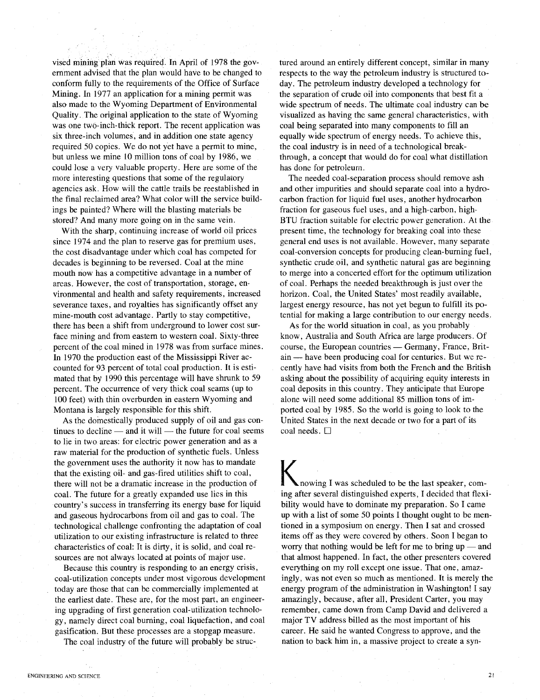vised mining plan was required. In April of 1978 the government advised that the plan would have to be changed to conform fully to the requirements of the Office of Surface Mining. **In** 1977 an application for a mining permit was also made to the Wyoming Department of Environmental Quality. The original application to the state of Wyoming was one two-inch-thick report. The recent application was six three-inch volumes, and in addition one state agency required 50 copies. We do not yet have a permit to mine, but unless we mine 10 million tons of coal by 1986, we could lose a very valuable property. Here are some of the more interesting questions that some of the regulatory agencies ask. How will the cattle trails be reestablished in the final reclaimed area? What color will the service buildings be painted? Where will the blasting materials be stored? And many more going on in the same vein.

With the sharp, continuing increase of world oil prices since 1974 and the plan to reserve gas for premium uses, the cost disadvantage under which coal has competed for decades is beginning to be reversed. Coal at the mine mouth now has a competitive advantage in a number of areas. However, the cost of transportation, storage, environmental and health and safety requirements, increased severance taxes, and royalties has significantly offset any mine-mouth cost advantage. Partly to stay competitive, there has been a shift from underground to lower cost surface mining and from eastern to western coal. Sixty-three percent of the coal mined in 1978 was from surface mines. **In** 1970 the production east of the Mississippi River accounted for 93 percent of total coal production. It is estimated that by 1990 this percentage will have shrunk to 59 percent. The occurrence of very thick coal seams (up to 100 feet) with thin overburden in eastern Wyoming and Montana is largely responsible for this shift.

As the domestically produced supply of oil and gas continues to decline  $-$  and it will  $-$  the future for coal seems to lie in two areas: for electric power generation and as a raw material for the production of synthetic fuels. Unless the government uses the authority it now has to mandate that the existing oil- and gas-fired utilities shift to coal, there will not be a dramatic increase in the production of coal. The future for a greatly expanded use lies in this country's success in transferring its energy base for liquid and gaseous hydrocarbons from oil and gas to coal. The technological challenge confronting the adaptation of coal utilization to our existing infrastructure is related to three characteristics of coal: **It** is dirty, it is solid, and coal resources are not always located at points of major use.

Because this country is responding to an energy crisis, coal-utilization concepts under most vigorous development today are those that can be commercially implemented at the earliest date. These are, for the most part, an engineering upgrading of first generation coal-utilization technology, namely direct coal burning, coal liquefaction, and coal gasification. But these processes are a stopgap measure.

The coal industry of the future will probably be struc-

tured around an entirely different concept, similar in many respects to the way the petroleum industry is structured today. The petroleum industry developed a technology for the separation of crude oil into components that best fit a wide spectrum of needs. The ultimate coal industry can be visualized as having the same general characteristics, with coal being separated into many components to fill an equally wide spectrum of energy needs. To achieve this, the coal industry is in need of a technological breakthrough, a concept that would do for coal what distillation has done for petroleum.

The needed coal-separation process should remove ash and other impurities and should separate coal into a hydrocarbon fraction for liquid fuel uses, another hydrocarbon fraction for gaseous fuel uses, and a high-carbon, high-BTU fraction suitable for electric power generation. At the present time, the technology for breaking coal into these general end uses is not available. However, many separate coal-conversion concepts for producing clean-burning fuel, synthetic crude oil, and synthetic natural gas are beginning to merge into a concerted effort for the optimum utilization of coal. Perhaps the needed breakthrough is just over the horizon. Coal, the United States' most readily available, largest energy resource, has not yet begun to fulfill its potential for making a large contribution to our energy needs.

As for the world situation in coal, as you probably know, Australia and South Africa are large producers. Of course, the European countries — Germany, France, Britain — have been producing coal for centuries. But we recently have had visits from both the French and the British asking about the possibility of acquiring equity interests in coal deposits in this country. They anticipate that Europe alone will need some additional 85 million tons of imported coal by 1985. So the world is going to look to the United States in the next decade or two for a part of its coal needs.  $\Box$ 

nowing I was scheduled to be the last speaker, coming after several distinguished experts, I decided that flexibility would have to dominate my preparation. So I came up with a list of some 50 points I thought ought to be mentioned in a symposium on energy. Then I sat and crossed items off as they were covered by others. Soon I began to worry that nothing would be left for me to bring  $up$  — and that almost happened. **In** fact, the other presenters covered everything on my roll except one issue. That one, amazingly, was not even so much as mentioned. It is merely the energy program of the administration in Washington! I say amazingly, because, after all, President Carter, you may remember, came down from Camp David and delivered a major TV address billed as the most important of his career. He said he wanted Congress to approve, and the nation to back him in, a massive project to create a syn-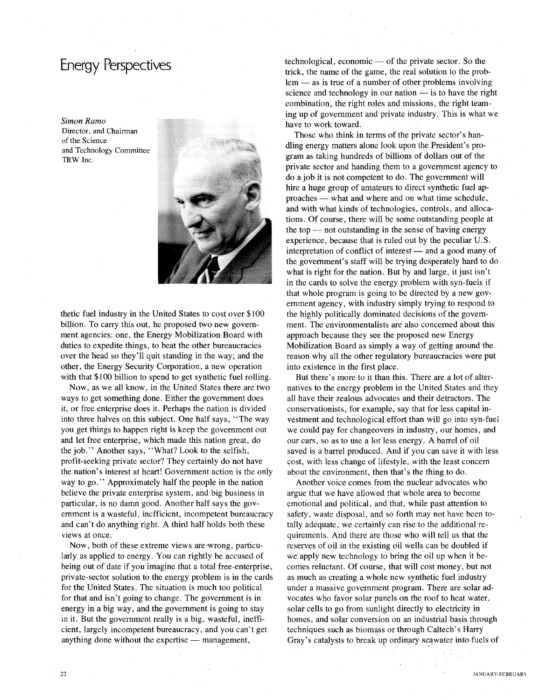*Simon Ramo* Director, and Chairman of the Science and Technology Committee TRW Inc.



thetic fuel industry in the United States to cost over \$100 billion. To carry this out, he proposed two new government agencies: one, the Energy Mobilization Board with duties to expedite things, to beat the other bureaucracies over the head so they'll quit standing in the way; and the other, the Energy Security Corporation, a new operation with that \$100 billion to spend to get synthetic fuel rolling.

Now, as we all know, in the United States there are two ways to get something done. Either the government does it, or free enterprise does it. Perhaps the nation is divided into three halves on this subject. One half says, "The way you get things to happen right is keep the government out and let free enterprise, which made this nation great, do the job." Another says, "What? Look to the selfish, profit-seeking private sector? They certainly do not have the nation's interest at heart! Government action is the only way to go." Approximately half the people in the nation believe the private enterprise system, and big business in particular, is no damn good. Another half says the government is a wasteful, inefficient, incompetent bureaucracy and can't do anything right. A third half holds both these views at once.

Now, both of these extreme views are 'wrong, particularly as applied to energy. You can rightly be accused of being out of date if you imagine that a total free-enterprise, private-sector solution to the energy problem is in the cards for the United States. The situation is much too political for that and isn't going to change. The government is in energy in a big way, and the government is going to stay in it. But the government really is a big, wasteful, inefficient, largely incompetent bureaucracy, and you can't get anything done without the expertise - management,

 $technological, economic — of the private sector. So the$ trick, the name of the game, the real solution to the prob $lem - as$  is true of a number of other problems involving science and technology in our nation  $\frac{1}{\sqrt{2}}$  is to have the right combination, the right roles and missions, the right teaming up of government and private industry. This is what we have to work toward.

Those who think in terms of the private sector's handling energy matters alone look upon the President's program as taking hundreds of billions of dollars out of the private sector and handing them to a government agency to do a job it is not competent to do. The government will hire a huge group of amateurs to direct synthetic fuel approaches — what and where and on what time schedule, and with what kinds of technologies, controls, and allocations. Of course, there will be some outstanding people at the top  $-$  not outstanding in the sense of having energy experience, because that is ruled out by the peculiar U.S. interpretation of conflict of interest  $-$  and a good many of the government's staff will be trying desperately hard to do what is right for the nation. But by and large, it just isn't in the cards to solve the energy problem with syn-fuels if that whole program is going to be directed by a new government agency, with industry simply trying to respond to the highly politically dominated decisions of the government. The environmentalists are also concerned about this approach because they see the proposed new Energy Mobilization Board as simply a way of getting around the reason why all the other regulatory bureaucracies were put into existence in the first place.

But there's more to it than this. There are a lot of alternatives to the energy problem in the United States and they all have their zealous advocates and their detractors. The conservationists, for example, say that for less capital investment and technological effort than will go into syn-fuel we could pay for changeovers in industry, our homes, and our cars, so as to use a lot less energy. A barrel of oil saved is a barrel produced. And if you can save it with less cost, with less change of lifestyle, with the least concern about the environment, then that's the thing to do.

Another voice comes from the nuclear advocates who argue that we have allowed that whole area to become emotional and political, and that, while past attention to safety, waste disposal, and so forth may not have been totally adequate, we certainly can rise to the additional requirements. And there are those who will tell us that the reserves of oil in the existing oil wells can be doubled if we apply new technology to bring the oil up when it becomes reluctant. Of course, that will cost money, but not as much as creating a whole new synthetic fuel industry under a massive government program. There are solar advocates who favor solar panels on the roof to heat water, solar cells to go from sunlight directly to electricity in homes, and solar conversion on an industrial basis through techniques such as biomass or through Caltech's Harry Gray's catalysts to break up ordinary seawater into fuels of